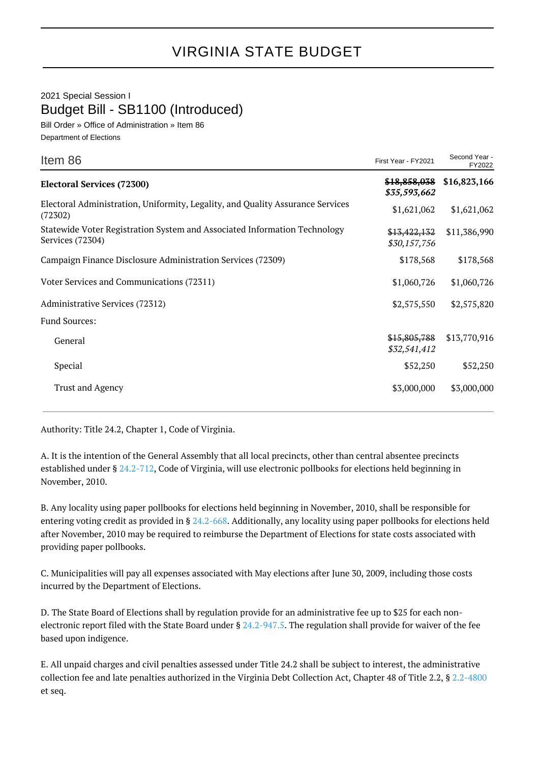## VIRGINIA STATE BUDGET

## 2021 Special Session I Budget Bill - SB1100 (Introduced)

Bill Order » Office of Administration » Item 86 Department of Elections

| Item 86                                                                                       | First Year - FY2021          | Second Year -<br>FY2022 |
|-----------------------------------------------------------------------------------------------|------------------------------|-------------------------|
| <b>Electoral Services (72300)</b>                                                             | \$18,858,038<br>\$35,593,662 | \$16,823,166            |
| Electoral Administration, Uniformity, Legality, and Quality Assurance Services<br>(72302)     | \$1,621,062                  | \$1,621,062             |
| Statewide Voter Registration System and Associated Information Technology<br>Services (72304) | \$13,422,132<br>\$30,157,756 | \$11,386,990            |
| Campaign Finance Disclosure Administration Services (72309)                                   | \$178,568                    | \$178,568               |
| Voter Services and Communications (72311)                                                     | \$1,060,726                  | \$1,060,726             |
| Administrative Services (72312)                                                               | \$2,575,550                  | \$2,575,820             |
| Fund Sources:                                                                                 |                              |                         |
| General                                                                                       | \$15,805,788<br>\$32,541,412 | \$13,770,916            |
| Special                                                                                       | \$52,250                     | \$52,250                |
| <b>Trust and Agency</b>                                                                       | \$3,000,000                  | \$3,000,000             |

Authority: Title 24.2, Chapter 1, Code of Virginia.

A. It is the intention of the General Assembly that all local precincts, other than central absentee precincts established under § [24.2-712,](http://law.lis.virginia.gov/vacode/24.2-712/) Code of Virginia, will use electronic pollbooks for elections held beginning in November, 2010.

B. Any locality using paper pollbooks for elections held beginning in November, 2010, shall be responsible for entering voting credit as provided in § [24.2-668.](http://law.lis.virginia.gov/vacode/24.2-668/) Additionally, any locality using paper pollbooks for elections held after November, 2010 may be required to reimburse the Department of Elections for state costs associated with providing paper pollbooks.

C. Municipalities will pay all expenses associated with May elections after June 30, 2009, including those costs incurred by the Department of Elections.

D. The State Board of Elections shall by regulation provide for an administrative fee up to \$25 for each non-electronic report filed with the State Board under § [24.2-947.5.](http://law.lis.virginia.gov/vacode/24.2-947.5/) The regulation shall provide for waiver of the fee based upon indigence.

E. All unpaid charges and civil penalties assessed under Title 24.2 shall be subject to interest, the administrative collection fee and late penalties authorized in the Virginia Debt Collection Act, Chapter 48 of Title 2.2, § [2.2-4800](http://law.lis.virginia.gov/vacode/2.2-4800/) et seq.